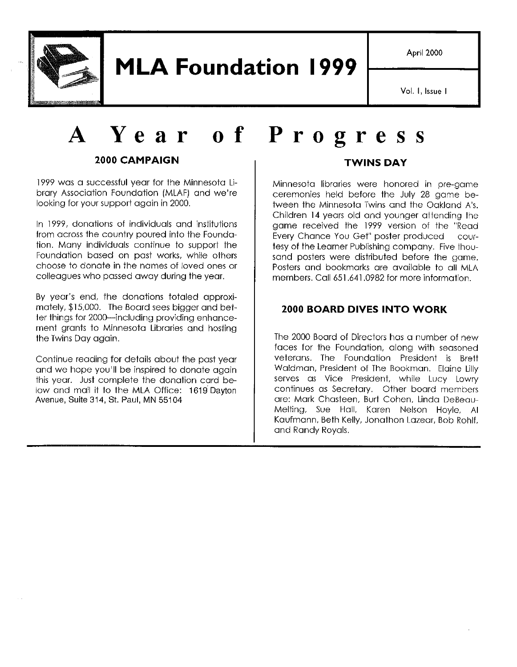

April 2000

Vol. I, Issue I

# **A Year 0 <sup>f</sup> Progress**

#### **2000 CAMPAIGN**

1999 was a successful year for the Minnesota Library Association Foundation (MLAF) and we're looking for your support again in 2000.

In 1999, donations of individuals and institutions from across the country poured into the Foundation. Many individuals continue to support the Foundation based on past works, while others choose to donate in the names of loved ones or colleagues who passed away during the year.

By year's end, the donations totaled approximately, \$15,000. The Board sees bigger and better things for 2000-including providing enhancement grants to Minnesota Libraries and hosting the Twins Day again.

Continue reading for details about the past year and we hope you'll be inspired to donate again this year. Just complete the donation card below and mail it to the MLA Office: 1619 Dayton Avenue, Suite 314, St. Paul, MN 55104

#### **TWINS DAY**

Minnesota libraries were honored in pre-game ceremonies held before the July 28 game between the Minnesota Twins and the Oakland A's. Children 14 years old and younger attending the game received the 1999 version of the "Read Every Chance You Get" poster produced courtesy of the Learner Publishing company. Five thousand posters were distributed before the game. Posters and bookmarks are available to all MLA members. Call 651 .641 .0982 for more information.

#### **2000 BOARD DIVES INTO WORK**

The 2000 Board of Directors has a number of new faces for the Foundation, along with seasoned veterans. The Foundation President is Brett Waldman, President of The Bookman. Elaine Lilly serves as Vice President, while Lucy Lowry continues as Secretary. Other board members are: Mark Chasteen, Burt Cohen, Linda DeBeau-Melting, Sue Hall, Karen Nelson Hoyle, Al Kaufmann, Beth Kelly, Jonathon Lazear, Bob Rohlf, and Randy Royals.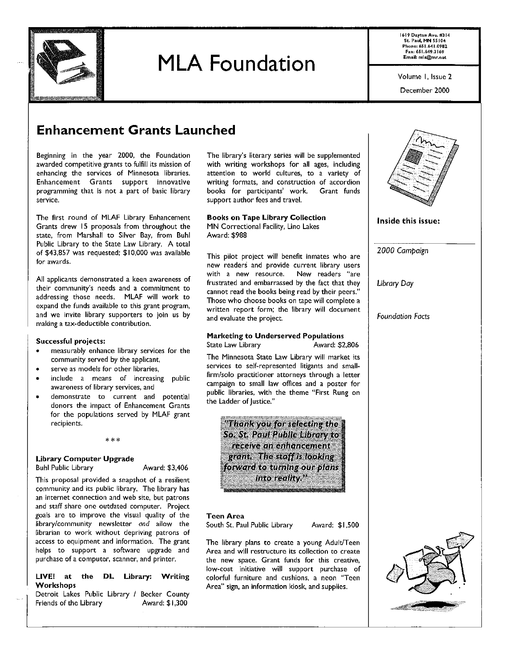

1619 Dayton Ave. #J 14 St. Paul, MN SS I 04 Phone: 651.641.0982 faK: 651.649,J I 69 Email: mla@mr.net

Volume I, Issue 2

December 2000

## Enhancement Grants Launched

Beginning in the year 2000, the Foundation awarded competitive grants to. fulfill its mission of enhancing the services of Minnesota libraries. Enhancement Grants support innovative programming that is not a part of basic library service.

The first round of MLAF Library Enhancement Grants drew 15 proposals from throughout the state, from Marshall to Silver Bay, from Buhl Public Library to the State Law Library. A total of \$43,857 was requested; \$10,000 was available for awards.

All applicants demonstrated a keen awareness of their community's needs and a commitment to addressing those needs. MLAF will work to expand the funds available to this grant program, and we invite library supporters to join us by making a tax-deductible contribution.

#### Successful projects:

- measurably enhance library services for the community served by the applicant,
- serve as models for other libraries,
- include a means of increasing public awareness of library services, and
- demonstrate to current and potential donors the impact of Enhancement Grants for the populations served by MLAF grant recipients.

\*\*\*

#### Library Computer Upgrade

Buhl Public Library Award: \$3,406

This proposal provided a snapshot of a resilient community and its public library. The library has an internet connection and web site, but patrons and staff share one outdated computer. Project goals are to improve the visual quality of the library/community newsletter and allow the librarian to work without depriving patrons of access to equipment and information. The grant helps to support a software upgrade and purchase of a computer, scanner, and printer.

#### LIVEI at the DL Library; Writing **Workshops**

Detroit Lakes Public Library / Becker County Friends of the Library **Award: \$1,300** 

The library's literary series will be supplemented with writing workshops for all ages, including attention to world cultures, to a variety of writing formats, and construction of accordion books for participants' work. Grant funds support author fees and travel.

#### Books on Tape Library Collection

MN Correctional Facility, Lino Lakes Award: \$988

This pilot project will benefit inmates who are new readers and provide current library users with a new resource. New readers "are frustrated and embarrassed by the fact that they cannot read the books being read by their peers." Those who choose books on tape will complete a written report form; the library will document and evaluate the project.

#### Marketing to Underserved Populations<br>State Law Library (Award: \$2,806) State Law Library

The Minnesota State Law Library will market its services to self-represented litigants and smallfirm/solo practitioner attorneys through a letter campaign to small law offices and a poster for public libraries, with the theme "First Rung on the Ladder of Justice."

"Thank you for selecting the So. St. Paul Public Horary to: receive an enhancement azant. The staff is looking. forward to turning our plans into reality."

#### Teen Area

South St. Paul Public Library Award: \$1,500

The library plans to create a young Adult/Teen Area and will restructure its collection to create the new space. Grant funds for this creative, low-cost initiative will support purchase of colorful furniture and cushions, a neon "Teen Area" sign, an information kiosk, and supplies.



Inside this issue:

*2000 Campaign* 

*Library Day* 

*Foundation Facts* 

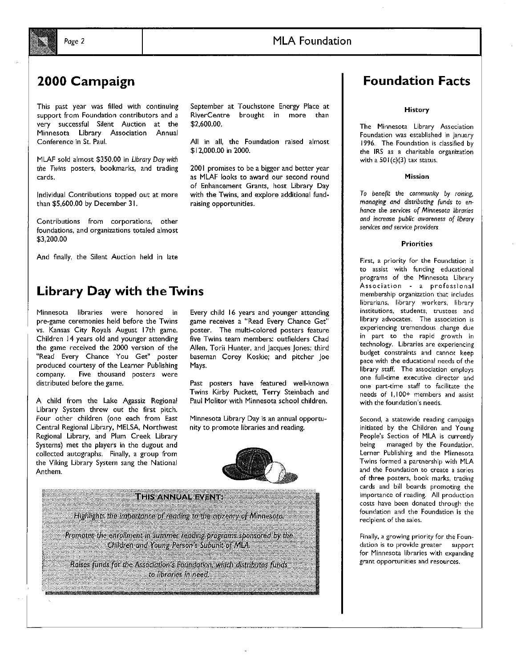#### *Page* 2

#### MLA Foundation

### 2000 Campaign

This past year was filled with continuing support from Foundation contributors and a very successful Silent Auction at the Minnesota Library Association Annual Conference in St. Paul.

MLAF sold almost \$350.00 in *Library Day with the Twins* posters, bookmarks, and trading cards.

Individual Contributions topped out at more than \$5,600.00 by December 31.

Contributions from corporations, other foundations, and organizations totaled almost \$3,200.00

And finally, the Silent Auction held in late

### Library Day with the Twins

Minnesota libraries were honored in pre-game ceremonies held before the Twins vs. Kansas City Royals August 17th game. Children 14 years old and younger attending the game received the 2000 version of the "Read Every Chance You Get" poster produced courtesy of the Learner Publishing company. Five thousand posters were distributed before the game.

A child from the Lake Agassiz Regional Library System threw out the first pitch. Four other children (one each from East Central Regional Library, MELSA, Northwest Regional Library, and Plum Creek Library Systems) met the players in the dugout and collected autographs. Finally, a group from the Viking Library System sang the National Anthem.

September at Touchstone Energy Place at RlverCentre brought in more than \$2,600.00.

All in all, the Foundation raised almost \$12,000.00 in 2000.

2001 promises to be a bigger and better year as MLAF looks to award our second round of Enhancement Grants, host Library Day with the Twins, and explore additional fundraising opportunities.

Every child 16 years and younger attending game receives a "Read Every Chance Get" poster. The multi-colored posters feature five Twins team members: outfielders Chad Allen, Torii Hunter, and Jacques Jones; third baseman Corey Koskie; and pitcher Joe Mays.

Past posters have featured well-known Twins Kirby Puckett, Terry Steinbach and Paul Molitor with Minnesota school children.

Minnesota Library Day is an annual opportunity to promote libraries and reading.





### Foundation Facts

**History** 

The Minnesota Library Association Foundation was established in January 1996. The Foundation is classified by the IRS as a charitable organization with a  $501(c)(3)$  tax status.

#### Mission

*To benent the community by raising, managing and distributing funds to* en*hance the* services *of Minnesota libraries and increase public awareness* of *library services and service providers.* 

#### **Priorities**

First, a priority for the Foundation is to assist with funding educational programs of the Minnesota Library Association a professional membership organization that includes librarians, library workers, library institutions, students, trustees and library advocates. The association is experiencing tremendous change due in part to the rapid growth in technology. Libraries are experiencing budget constraints and cannot keep pace with the educational needs of the library staff. The association employs one full-time executive director and one part-time staff to facilitate the needs of I, 100+ members and assist with the foundation's needs.

Second, a statewide reading campaign initiated by the Children and Young People's Section of MLA is currently being managed by the Foundation. Lerner Publishing and the Minnesota Twins formed a partnership with MLA and the Foundation to create a series of three posters, book marks, trading cards and bill boards promoting the importance of reading. All production costs have been donated through the foundation and the Foundation is the recipient of the sales.

Finally, a growing priority for the Foundation is to provide greater support for Minnesota libraries with expanding grant opportunities and resources.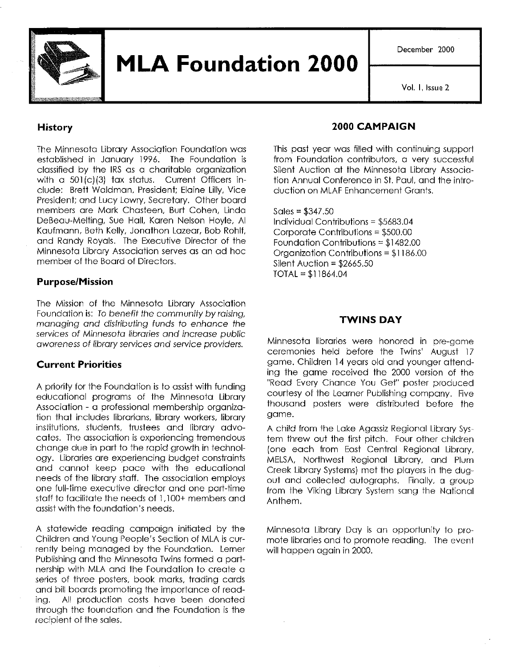

December 2000

Vol. I, Issue 2

#### **History**

The Minnesota Library Association Foundation was established in January 1996. The Foundation is classified by the IRS as a charitable organization with a 501(c)(3) tax status. Current Officers include: Brett Waldman, President; Elaine Lilly, Vice President; and Lucy Lowry, Secretary. Other board members are Mark Chasteen, Burt Cohen, Linda DeBeau-Melting, Sue Hall, Karen Nelson Hoyle, Al Kaufmann, Beth Kelly, Jonathon Lazear, Bob Rohlf, and Randy Royals. The Executive Director of the Minnesota Library Association serves as an ad hoc member of the Board of Directors.

#### **Purpose/Mission**

The Mission of the Minnesota Library Association Foundation is: To benefit the community by raising, managing and distributing funds to enhance the services of Minnesota libraries and increase public awareness of library services and service providers.

#### **Current Priorities**

A priority for the Foundation is to assist with funding educational programs of the Minnesota Library Association - a professional membership organization that includes librarians, library workers, library institutions, students, trustees and library advocates. The association is experiencing tremendous change due in part to the rapid growth in technology. Libraries are experiencing budget constraints and cannot keep pace with the educational needs of the library staff. The association employs one full-time executive director and one part-time staff to facilitate the needs of I, 100+ members and assist with the foundation's needs.

A statewide reading campaign initiated by the Children and Young People's Section of MLA is currently being managed by the Foundation. Lerner Publishing and the Minnesota Twins formed a partnership with MLA and the Foundation to create a series of three posters, book marks, trading cards and bill boards promoting the importance of reading. All production costs have been donated through the foundation and the Foundation is the recipient of the sales.

#### **2000 CAMPAIGN**

This past year was filled with continuing support from Foundation contributors, a very successful Silent Auction at the Minnesota Library Association Annual Conference in St. Paul, and the introduction on MLAF Enhancement Grants.

 $Sales = $347.50$ Individual Contributions = \$5683.04 Corporate Contributions = \$500.00 Foundation Contributions = \$1482.00 Organization Contributions = \$1186.00 Silent Auction = \$2665.50 TOTAL = \$11864.04

#### **TWINS DAY**

Minnesota libraries were honored in pre-game ceremonies held before the Twins' August 17 game. Children 14 years old and younger attending the game received the 2000 version of the "Read Every Chance You Get" poster produced courtesy of the Learner Publishing company. Five thousand posters were distributed before the game.

A child from the Lake Agassiz Regional Library System threw out the first pitch. Four other children (one each from East Central Regional Library, MELSA, Northwest Regional Library, and Plum Creek Library Systems) met the players in the dugout and collected autographs. Finally, a group from the Viking Library System sang the National Anthem.

Minnesota Library Day is an opportunity to promote libraries and to promote reading. The event will happen again in 2000.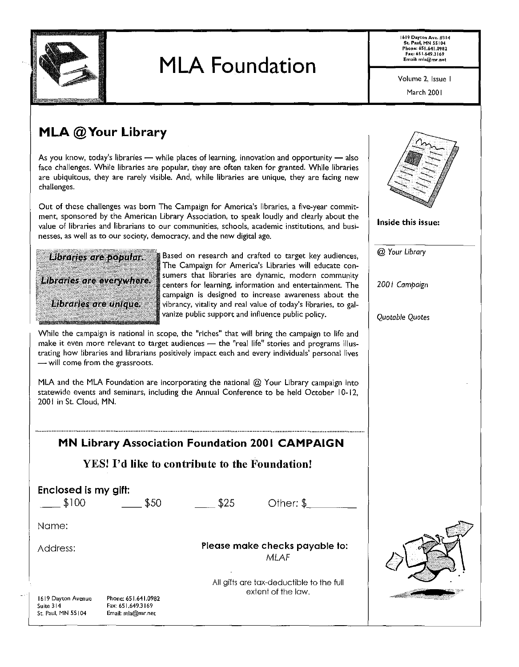

1619 Dayton Ave. #314 St. Paul, MN 55104 Phone: 651 .641.0982 FaK: 651.649.3169 Email: mla@mr.net

Volume 2, Issue I

March 2001

Inside this issue:

@ *Your Library* 

*200* I *Campaign* 

*Quotable Quotes* 

## MLA @Your Library

As you know, today's libraries  $-$  while places of learning, innovation and opportunity  $-$  also face challenges. While libraries are popular, they are often taken for granted. While libraries are ubiquitous, they are rarely visible. And, while libraries are unique, they are facing new challenges.

Out of these challenges was born The Campaign for America's libraries, a five-year commitment, sponsored by the American Library Association, to speak loudly and clearly about the value of libraries and librarians to our communities, schools, academic institutions, and businesses, as well as to our society, democracy, and the new digital age.



Based on research and crafted to target key audiences, The Campaign for America's Libraries will educate consumers that libraries are dynamic, modern community centers for learning, information and entertainment. The campaign is designed to increase awareness about the vibrancy, vitality and real value of today's libraries, to galvanize public support and influence public policy.

While the campaign is national in scope, the "riches" that will bring the campaign to life and make it even more relevant to target audiences - the "real life" stories and programs illustrating how libraries and librarians positively impact each and every individuals' personal lives - will come from the grassroots.

MLA and the MLA Foundation are incorporating the national @ Your Library campaign into statewide events and seminars, including the Annual Conference to be held October 10-12, 2001 in St. Cloud, MN.

### **MN Library Association Foundation 2001 CAMPAIGN**

#### YES! I'd like to contribute to the Foundation!

| Enclosed is my gift: |      |
|----------------------|------|
| \$100                | \$50 |
| Name:                |      |
| Address:             |      |

 $$25$  Other:  $$_{\_}$ 

Please make checks payable to: MLAF

1619 Dayton Avenue Suite 314 St. Paul, MN 55104

Phone: 65 1.641.0982 Fax: 651,649.3169 Email: mla@mr.net

All gifts are tax-deductible to the full extent of the law.

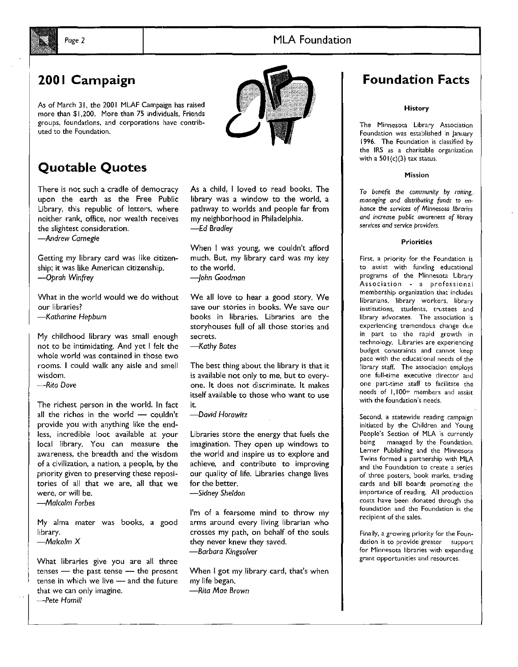#### *Page* 2 MLA Foundation



## 2001 Campaign

As of March 31, the 2001 MLAF Campaign has raised more than \$1,200. More than 75 individuals, Friends groups, foundations, and corporations have contributed to the Foundation.



## Quotable Quotes

There is not such a cradle of democracy upon the earth as the Free Public Library, this republic of letters, where neither rank, office, nor wealth receives the slightest consideration.

*-Andrew Carnegie* 

Getting my library card was like citizenship; it was like American citizenship. *-Oprah Winfrey* 

What in the world would we do without our libraries? *-Katharine Hepburn* 

My childhood library was small enough not to be intimidating. And yet I felt the whole world was contained in those two rooms. I could walk any aisle and smell wisdom.

*-Rita Dove* 

The richest person in the world. In fact all the riches in the world - couldn't provide you with anything like the endless, incredible loot available at your local library. You can measure the awareness, the breadth and· the wisdom of a civilization, a nation, a people, by the priority given to preserving these repositories of all that we are, all that we were, or will be.

*-Malcolm Forbes* 

My alma mater was books, a good library.

*-Malcolm X* 

What libraries give you are all three  $t$ enses  $-$  the past tense  $-$  the present tense in which we live  $-$  and the future that we can only imagine.

-Pete *Hamill* 

As a child, I loved to read books. The library was a window to the world, a pathway to worlds and people far from my neighborhood in Philadelphia. *-Ed Bradley* 

When I was young, we couldn't afford much. But, my library card was my key to the world.

*-john Goodman* 

We all love to hear a good story. We save our stories in books. We save our books in libraries. Libraries are the storyhouses full of all those stories and secrets.

*-Kathy Bates* 

The best thing about the library is that it is available not only to me, but to everyone. It does not discriminate. It makes itself available to those who want to use it.

*-David Horowitz* 

Libraries store the energy that fuels the imagination. They open up windows to the world and inspire us to explore and achieve, and contribute to improving our quality of life. Libraries change lives for the better. *-Sidney Sheldon* 

I'm of a fearsome mind to throw my arms around every living librarian who crosses my path, on behalf of the souls they never knew they saved. *-Barbara Kingsolver* 

When I got my library card, that's when my life began. *-Rita Mae Brown* 

### Foundation Facts

History

The Minnesota Library Association Foundation was established in January 1996. The Foundation is classified by the IRS as a charitable organization with a  $501(c)(3)$  tax status.

#### Mission

*To benefit the community by raising, managing and distributing funds* to en*hance the services* of *Minnesota libraries*  and increase public awareness of library *services and service providers.* 

#### Priorities

First, a priority for the Foundation is to assist with funding educational programs of the Minnesota Library Association - a professional membership organization that includes librarians, library workers, library institutions, students, trustees and library advocates. The association is experiencing tremendous change due in part to the rapid growth in technology. Libraries are experiencing budget constraints and cannot keep pace with the educational needs of the library staff. The association employs one full-time executive director and one part-time staff to facilitate the needs of 1,100+ members and assist with the foundation's needs.

Second, a statewide reading campaign initiated by the Children and Young People's Section of MLA is currently being managed by the Foundation. Lerner Publishing and the Minnesota Twins formed a partnership with MLA and the Foundation to create a series of three posters, book marks, trading cards and bill boards promoting the importance of reading. All production costs have been donated through the foundation and the Foundation is the recipient of the sales.

Finally, a growing priority for the Foundation is to provide greater support for Minnesota libraries with expanding grant opportunities and resources.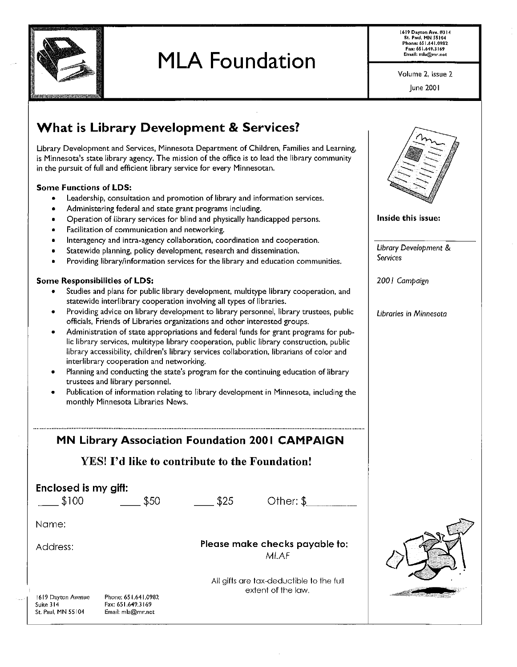

1619 Dayton Ave. #J 14 St. Paul, MN 55104 Phone: 651.641.0982 Fax: 651.649.l I *69*  Email: mla@mr.net

Volume 2, Issue 2

June 2001

## What is Library Development & Services?

Library Development and Services, Minnesota Department of Children, Families and Learning, is Minnesota's state library agency. The mission of the office is to lead the library community in the pursuit of full and efficient library service for every Minnesotan.

#### Some Functions of LOS:

- Leadership, consultation and promotion of library and information services.
- Administering federal and state grant programs including.
- Operation of library services for blind and physically handicapped persons.
- Facilitation of communication and networking.
- lnteragency and intra-agency collaboration, coordination and cooperation.
- Statewide planning, policy development, research and dissemination.
- Providing library/information services for the library and education communities.

#### Some Responsibilities of LOS:

1619 Dayton Avenue

Suite 314 St. Paul, MN SS 104

- Studies and plans for public library development, multitype library cooperation, and statewide interlibrary cooperation involving all types of libraries.
- Providing advice on library development to library personnel, library trustees, public officials, Friends of Libraries organizations and other interested groups.
- Administration of state appropriations and federal funds for grant programs for public library services, multitype library cooperation, public library construction, public library accessibility, children's library services collaboration, librarians of color and interlibrary cooperation and networking.
- Planning and conducting the state's program for the continuing education of library trustees and library personnel.
- Publication of information relating to library development in Minnesota, including the monthly Minnesota Libraries News.

#### MN Library Association Foundation 2001 CAMPAIGN

#### YES! I'd like to contribute to the Foundation!

| Enclosed is my gift: |      |                                               |                                          |  |  |
|----------------------|------|-----------------------------------------------|------------------------------------------|--|--|
| \$100                | \$50 | \$25                                          | Other: \$                                |  |  |
|                      |      |                                               |                                          |  |  |
| Name:                |      |                                               |                                          |  |  |
|                      |      |                                               |                                          |  |  |
| Address:             |      | Please make checks payable to:<br><b>MLAF</b> |                                          |  |  |
|                      |      |                                               |                                          |  |  |
|                      |      |                                               | All gifts are tax-deductible to the full |  |  |
|                      |      |                                               | extent of the law.                       |  |  |

Phone: 651.641.0982 Fax: 651.649.3169 Email: mla@mr.net



Inside this issue:

*Library Development* & *Services* 

*200* I *Campaign* 

*Libraries in Minnesota*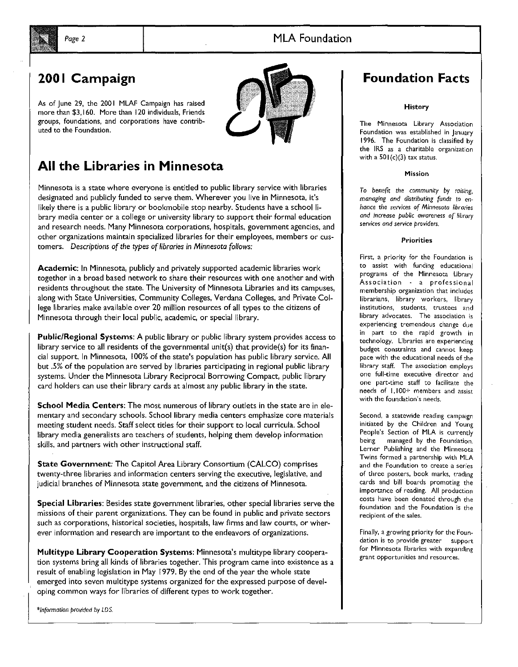

## 2001 Campaign

As of June 29, the 2001 MLAF Campaign has raised more than \$3, 160. More than 120 individuals, Friends groups, foundations, and corporations have contrib· uted to the Foundation.



## All the Libraries in Minnesota

Minnesota is a state where everyone is entitled to public library service with libraries designated and publicly funded to serve them. Wherever you live in Minnesota, it's likely there is a public library or bookmobile stop nearby. Students have a school library media center or a college or university library to support their formal education and research needs. Many Minnesota corporations, hospitals, government agencies, and other organizations maintain specialized libraries for their employees, members or customers. *Descriptions* of *the types* of *libraries* in *Minnesota follows:* 

Academic: In Minnesota, publicly and privately supported academic libraries work together in a broad based network to share their resources with one another and with residents throughout the state. The University of Minnesota Libraries and its campuses, along with State Universities, Community Colleges, Verdana Colleges, and Private College libraries make available over 20 million resources of all types to the citizens of Minnesota through their local public, academic, or special library.

Public/Regional Systems: A public library or public library system provides access to library service to all residents of the governmental unit(s) that provide(s) for its financial support. In Minnesota, I 00% of the state's population has public library service. All but .5% of the population are served by libraries participating in regional public library systems. Under the Minnesota Library Reciprocal Borrowing Compact, public library card holders can use their library cards at almost any public library in the state.

School Media Centers: The most numerous of library outlets in the state are in elementary and secondary schools. School library media centers emphasize core materials meeting student needs. Staff select titles for their support to local curricula. School library media generalists are teachers of students, helping them develop information skills, and partners with other instructional staff.

State Government: The Capitol Area Library Consortium (CALCO) comprises twenty-three libraries and information centers serving the executive, legislative, and judicial branches of Minnesota state government, and the citizens of Minnesota.

Special Libraries: Besides state government libraries, other special libraries serve the missions of their parent organizations. They can be found in public and private sectors such as corporations, historical societies, hospitals, law firms and law courts, or wherever information and research are important to the endeavors of organizations.

Multitype Library Cooperation Systems: Minnesota's multitype library cooperation systems bring all kinds of libraries together. This program came into existence as a result of enabling legislation in May 1979. By the end of the year the whole state emerged into seven multitype systems organized for the expressed purpose of developing common ways for libraries of different types to work together.

*\*Information provided* by *LDS.* 

### Foundation Facts

#### History

The Minnesota Library Association Foundation was established in January 1996. The Foundation is classified by the IRS as a charitable organization with a  $501(c)(3)$  tax status.

#### Mission

*To* benefit *the community by raising, managing and distributing funds to enhance* tile services *of Minnesota libraries and increase public awareness of library*  services *and service providers.* 

#### Priorities

First, a priority for the Foundation is to assist with funding educational programs of the Minnesota library Association - a professional membership organization that includes librarians, library workers, library institutions, students, trustees and library advocates. The association is experiencing tremendous change due in part to the rapid growth in technology. Libraries are experiencing budget constraints and cannot keep pace with the educational needs of the library staff. The association employs one full-time executive director and one part-time staff to facilitate the needs of 1,100+ members and assist with the foundation's needs.

Second, a statewide reading campaign initiated by the Children and Young People's Section of MLA is currently being managed by the Foundation. Lerner Publishing and the Minnesota Twins formed a partnership with MLA and the Foundation to create a series of three posters, book marks, trading cards and bill boards promoting the importance of reading. All production costs have been donated through the foundation and the Foundation is the recipient of the sales.

Finally, a growing priority for the Foundation is to provide greater support for Minnesota libraries with expanding grant opportunities and resources.

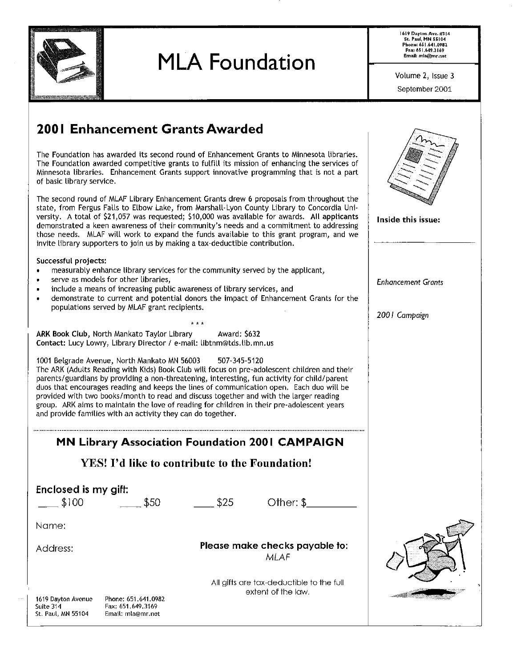

**200 I Enhancement Grants Awarded** 

## **MLA Foundation**

**1619 Dayton Ave. #314 St. Paul, MN 55104 Phone; 651.641.0982 fax; 651.649.3169 Email: mla@mr.net** 

Volume 2, Issue 3 September 2001

| The Foundation has awarded its second round of Enhancement Grants to Minnesota libraries.<br>The Foundation awarded competitive grants to fulfill its mission of enhancing the services of<br>Minnesota libraries. Enhancement Grants support innovative programming that is not a part<br>of basic library service.                                                                                                                                                                                                                                                                            |                                                                                      |                                            |
|-------------------------------------------------------------------------------------------------------------------------------------------------------------------------------------------------------------------------------------------------------------------------------------------------------------------------------------------------------------------------------------------------------------------------------------------------------------------------------------------------------------------------------------------------------------------------------------------------|--------------------------------------------------------------------------------------|--------------------------------------------|
| The second round of MLAF Library Enhancement Grants drew 6 proposals from throughout the<br>state, from Fergus Falls to Elbow Lake, from Marshall-Lyon County Library to Concordia Uni-<br>versity. A total of \$21,057 was requested; \$10,000 was available for awards. All applicants<br>demonstrated a keen awareness of their community's needs and a commitment to addressing<br>those needs. MLAF will work to expand the funds available to this grant program, and we<br>invite library supporters to join us by making a tax-deductible contribution.                                 |                                                                                      | Inside this issue:                         |
| Successful projects:<br>measurably enhance library services for the community served by the applicant,<br>serve as models for other libraries,<br>include a means of increasing public awareness of library services, and<br>populations served by MLAF grant recipients.<br>* * *                                                                                                                                                                                                                                                                                                              | demonstrate to current and potential donors the impact of Enhancement Grants for the | <b>Enhancement Grants</b><br>2001 Campaign |
| ARK Book Club, North Mankato Taylor Library<br>Contact: Lucy Lowry, Library Director / e-mail: libtnm@tds.lib.mn.us                                                                                                                                                                                                                                                                                                                                                                                                                                                                             | Award: \$632                                                                         |                                            |
| 1001 Belgrade Avenue, North Mankato MN 56003<br>The ARK (Adults Reading with Kids) Book Club will focus on pre-adolescent children and their<br>parents/guardians by providing a non-threatening, interesting, fun activity for child/parent<br>duos that encourages reading and keeps the lines of communication open. Each duo will be<br>provided with two books/month to read and discuss together and with the larger reading<br>group. ARK aims to maintain the love of reading for children in their pre-adolescent years<br>and provide families with an activity they can do together. | 507 345 5120                                                                         |                                            |
|                                                                                                                                                                                                                                                                                                                                                                                                                                                                                                                                                                                                 | <b>MN Library Association Foundation 2001 CAMPAIGN</b>                               |                                            |
| YES! I'd like to contribute to the Foundation!                                                                                                                                                                                                                                                                                                                                                                                                                                                                                                                                                  |                                                                                      |                                            |
| Enclosed is my gift:<br>\$100<br>\$50                                                                                                                                                                                                                                                                                                                                                                                                                                                                                                                                                           | Other: $\sqrt[6]{ }$<br>\$25                                                         |                                            |
| Name:                                                                                                                                                                                                                                                                                                                                                                                                                                                                                                                                                                                           |                                                                                      |                                            |
| Address:                                                                                                                                                                                                                                                                                                                                                                                                                                                                                                                                                                                        | Please make checks payable to:<br><b>MLAF</b>                                        |                                            |
| 1619 Dayton Avenue<br>Phone: 651.641.0982<br>Suite 314<br>Fax: 651.649,3169<br>St. Paul, MN 55104<br>Email: mla@mr.net                                                                                                                                                                                                                                                                                                                                                                                                                                                                          | All gifts are tax-deductible to the full<br>extent of the law.                       |                                            |
|                                                                                                                                                                                                                                                                                                                                                                                                                                                                                                                                                                                                 |                                                                                      |                                            |